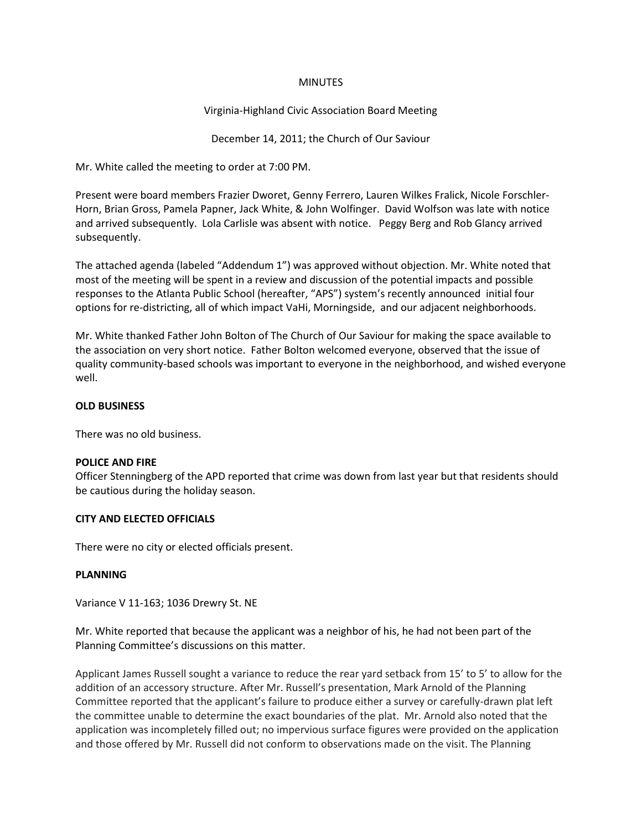#### MINUTES

## Virginia-Highland Civic Association Board Meeting

December 14, 2011; the Church of Our Saviour

Mr. White called the meeting to order at 7:00 PM.

Present were board members Frazier Dworet, Genny Ferrero, Lauren Wilkes Fralick, Nicole Forschler-Horn, Brian Gross, Pamela Papner, Jack White, & John Wolfinger. David Wolfson was late with notice and arrived subsequently. Lola Carlisle was absent with notice. Peggy Berg and Rob Glancy arrived subsequently.

The attached agenda (labeled "Addendum 1") was approved without objection. Mr. White noted that most of the meeting will be spent in a review and discussion of the potential impacts and possible responses to the Atlanta Public School (hereafter, "APS") system's recently announced initial four options for re-districting, all of which impact VaHi, Morningside, and our adjacent neighborhoods.

Mr. White thanked Father John Bolton of The Church of Our Saviour for making the space available to the association on very short notice. Father Bolton welcomed everyone, observed that the issue of quality community-based schools was important to everyone in the neighborhood, and wished everyone well.

#### **OLD BUSINESS**

There was no old business.

## **POLICE AND FIRE**

Officer Stenningberg of the APD reported that crime was down from last year but that residents should be cautious during the holiday season.

## **CITY AND ELECTED OFFICIALS**

There were no city or elected officials present.

#### **PLANNING**

Variance V 11-163; 1036 Drewry St. NE

Mr. White reported that because the applicant was a neighbor of his, he had not been part of the Planning Committee's discussions on this matter.

Applicant James Russell sought a variance to reduce the rear yard setback from 15' to 5' to allow for the addition of an accessory structure. After Mr. Russell's presentation, Mark Arnold of the Planning Committee reported that the applicant's failure to produce either a survey or carefully-drawn plat left the committee unable to determine the exact boundaries of the plat. Mr. Arnold also noted that the application was incompletely filled out; no impervious surface figures were provided on the application and those offered by Mr. Russell did not conform to observations made on the visit. The Planning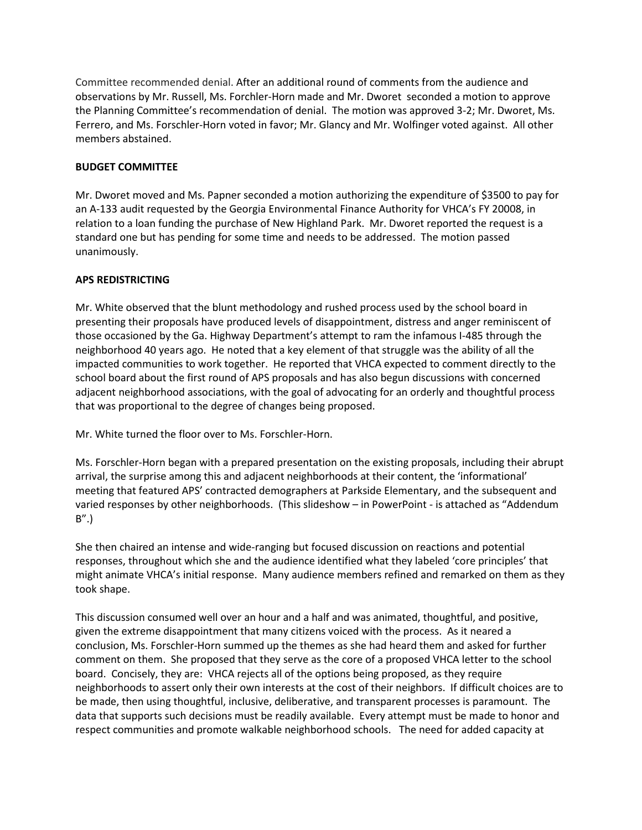Committee recommended denial. After an additional round of comments from the audience and observations by Mr. Russell, Ms. Forchler-Horn made and Mr. Dworet seconded a motion to approve the Planning Committee's recommendation of denial. The motion was approved 3-2; Mr. Dworet, Ms. Ferrero, and Ms. Forschler-Horn voted in favor; Mr. Glancy and Mr. Wolfinger voted against. All other members abstained.

# **BUDGET COMMITTEE**

Mr. Dworet moved and Ms. Papner seconded a motion authorizing the expenditure of \$3500 to pay for an A-133 audit requested by the Georgia Environmental Finance Authority for VHCA's FY 20008, in relation to a loan funding the purchase of New Highland Park. Mr. Dworet reported the request is a standard one but has pending for some time and needs to be addressed. The motion passed unanimously.

# **APS REDISTRICTING**

Mr. White observed that the blunt methodology and rushed process used by the school board in presenting their proposals have produced levels of disappointment, distress and anger reminiscent of those occasioned by the Ga. Highway Department's attempt to ram the infamous I-485 through the neighborhood 40 years ago. He noted that a key element of that struggle was the ability of all the impacted communities to work together. He reported that VHCA expected to comment directly to the school board about the first round of APS proposals and has also begun discussions with concerned adjacent neighborhood associations, with the goal of advocating for an orderly and thoughtful process that was proportional to the degree of changes being proposed.

Mr. White turned the floor over to Ms. Forschler-Horn.

Ms. Forschler-Horn began with a prepared presentation on the existing proposals, including their abrupt arrival, the surprise among this and adjacent neighborhoods at their content, the 'informational' meeting that featured APS' contracted demographers at Parkside Elementary, and the subsequent and varied responses by other neighborhoods. (This slideshow – in PowerPoint - is attached as "Addendum B".)

She then chaired an intense and wide-ranging but focused discussion on reactions and potential responses, throughout which she and the audience identified what they labeled 'core principles' that might animate VHCA's initial response. Many audience members refined and remarked on them as they took shape.

This discussion consumed well over an hour and a half and was animated, thoughtful, and positive, given the extreme disappointment that many citizens voiced with the process. As it neared a conclusion, Ms. Forschler-Horn summed up the themes as she had heard them and asked for further comment on them. She proposed that they serve as the core of a proposed VHCA letter to the school board. Concisely, they are: VHCA rejects all of the options being proposed, as they require neighborhoods to assert only their own interests at the cost of their neighbors. If difficult choices are to be made, then using thoughtful, inclusive, deliberative, and transparent processes is paramount. The data that supports such decisions must be readily available. Every attempt must be made to honor and respect communities and promote walkable neighborhood schools. The need for added capacity at